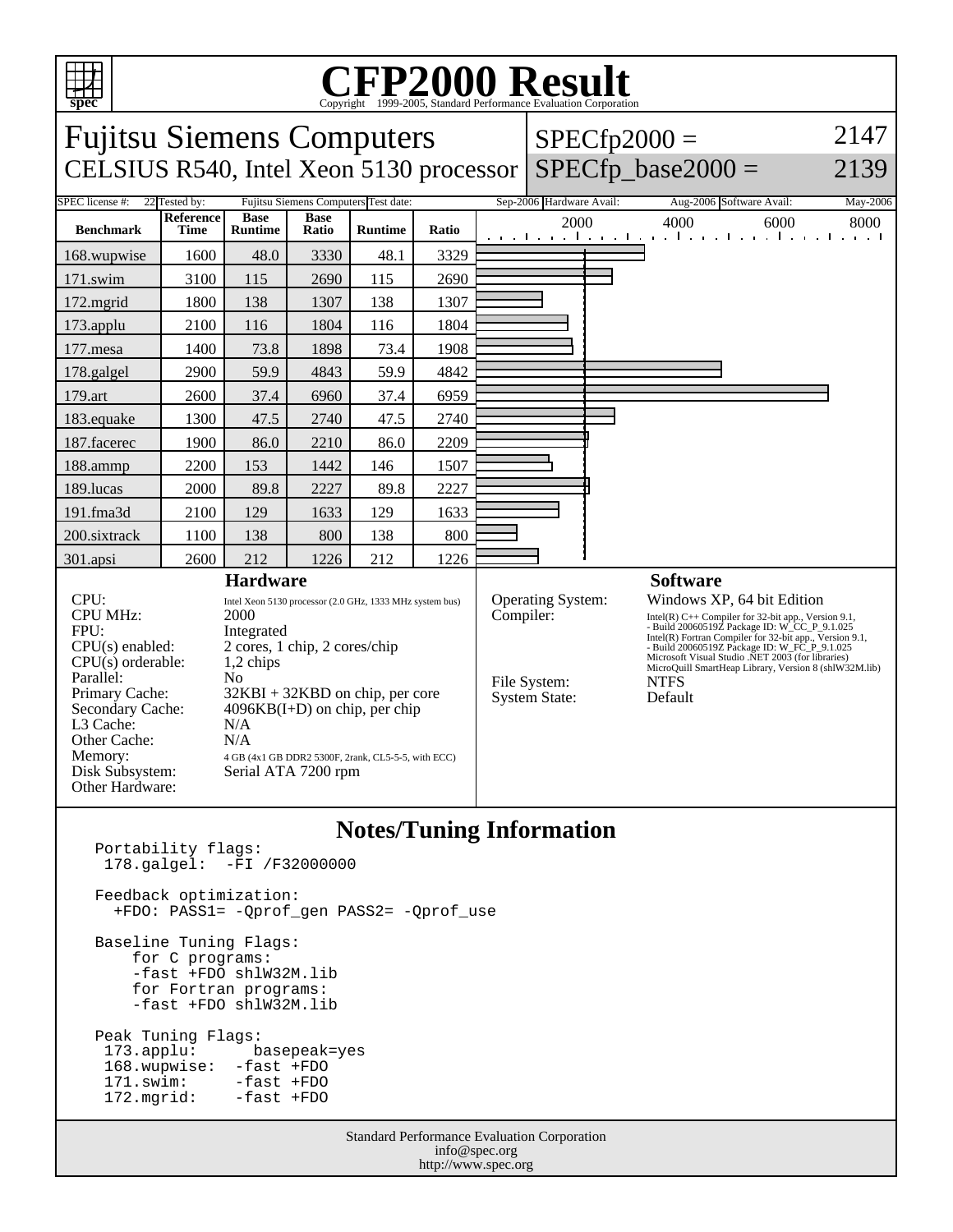

## C<sub>opyright</sub> ©1999-2005, Standard Performance Evaluation Corporation

| <b>Fujitsu Siemens Computers</b>                                                                                                                                                                           |                          |                                                                                                                                                                                                                                                                                                                   |                      |                |       |  |                                                                        | $SPECfp2000 =$ | 2147                                                                                                                                                                                                                                                                                                                                                                                   |      |
|------------------------------------------------------------------------------------------------------------------------------------------------------------------------------------------------------------|--------------------------|-------------------------------------------------------------------------------------------------------------------------------------------------------------------------------------------------------------------------------------------------------------------------------------------------------------------|----------------------|----------------|-------|--|------------------------------------------------------------------------|----------------|----------------------------------------------------------------------------------------------------------------------------------------------------------------------------------------------------------------------------------------------------------------------------------------------------------------------------------------------------------------------------------------|------|
| $SPECfp\_base2000 =$<br>CELSIUS R540, Intel Xeon 5130 processor                                                                                                                                            |                          |                                                                                                                                                                                                                                                                                                                   |                      |                |       |  |                                                                        |                |                                                                                                                                                                                                                                                                                                                                                                                        | 2139 |
| <b>SPEC</b> license #:<br>Fujitsu Siemens Computers Test date:<br>Sep-2006 Hardware Avail:<br>22 Tested by:<br>Aug-2006 Software Avail:<br>May-2006                                                        |                          |                                                                                                                                                                                                                                                                                                                   |                      |                |       |  |                                                                        |                |                                                                                                                                                                                                                                                                                                                                                                                        |      |
| <b>Benchmark</b>                                                                                                                                                                                           | <b>Reference</b><br>Time | <b>Base</b><br><b>Runtime</b>                                                                                                                                                                                                                                                                                     | <b>Base</b><br>Ratio | <b>Runtime</b> | Ratio |  | 2000                                                                   |                | 4000<br>6000<br>الكفح الجفجا جفجا بقراء والجفجا جفجا جفجا والجفر                                                                                                                                                                                                                                                                                                                       | 8000 |
| 168.wupwise                                                                                                                                                                                                | 1600                     | 48.0                                                                                                                                                                                                                                                                                                              | 3330                 | 48.1           | 3329  |  |                                                                        |                |                                                                                                                                                                                                                                                                                                                                                                                        |      |
| 171.swim                                                                                                                                                                                                   | 3100                     | 115                                                                                                                                                                                                                                                                                                               | 2690                 | 115            | 2690  |  |                                                                        |                |                                                                                                                                                                                                                                                                                                                                                                                        |      |
| 172.mgrid                                                                                                                                                                                                  | 1800                     | 138                                                                                                                                                                                                                                                                                                               | 1307                 | 138            | 1307  |  |                                                                        |                |                                                                                                                                                                                                                                                                                                                                                                                        |      |
| 173.applu                                                                                                                                                                                                  | 2100                     | 116                                                                                                                                                                                                                                                                                                               | 1804                 | 116            | 1804  |  |                                                                        |                |                                                                                                                                                                                                                                                                                                                                                                                        |      |
| 177.mesa                                                                                                                                                                                                   | 1400                     | 73.8                                                                                                                                                                                                                                                                                                              | 1898                 | 73.4           | 1908  |  |                                                                        |                |                                                                                                                                                                                                                                                                                                                                                                                        |      |
| 178.galgel                                                                                                                                                                                                 | 2900                     | 59.9                                                                                                                                                                                                                                                                                                              | 4843                 | 59.9           | 4842  |  |                                                                        |                |                                                                                                                                                                                                                                                                                                                                                                                        |      |
| 179.art                                                                                                                                                                                                    | 2600                     | 37.4                                                                                                                                                                                                                                                                                                              | 6960                 | 37.4           | 6959  |  |                                                                        |                |                                                                                                                                                                                                                                                                                                                                                                                        |      |
| 183.equake                                                                                                                                                                                                 | 1300                     | 47.5                                                                                                                                                                                                                                                                                                              | 2740                 | 47.5           | 2740  |  |                                                                        |                |                                                                                                                                                                                                                                                                                                                                                                                        |      |
| 187.facerec                                                                                                                                                                                                | 1900                     | 86.0                                                                                                                                                                                                                                                                                                              | 2210                 | 86.0           | 2209  |  |                                                                        |                |                                                                                                                                                                                                                                                                                                                                                                                        |      |
| 188.ammp                                                                                                                                                                                                   | 2200                     | 153                                                                                                                                                                                                                                                                                                               | 1442                 | 146            | 1507  |  |                                                                        |                |                                                                                                                                                                                                                                                                                                                                                                                        |      |
| 189.lucas                                                                                                                                                                                                  | 2000                     | 89.8                                                                                                                                                                                                                                                                                                              | 2227                 | 89.8           | 2227  |  |                                                                        |                |                                                                                                                                                                                                                                                                                                                                                                                        |      |
| 191.fma3d                                                                                                                                                                                                  | 2100                     | 129                                                                                                                                                                                                                                                                                                               | 1633                 | 129            | 1633  |  |                                                                        |                |                                                                                                                                                                                                                                                                                                                                                                                        |      |
| 200.sixtrack                                                                                                                                                                                               | 1100                     | 138                                                                                                                                                                                                                                                                                                               | 800                  | 138            | 800   |  |                                                                        |                |                                                                                                                                                                                                                                                                                                                                                                                        |      |
| 301.apsi                                                                                                                                                                                                   | 2600                     | 212                                                                                                                                                                                                                                                                                                               | 1226                 | 212            | 1226  |  |                                                                        |                |                                                                                                                                                                                                                                                                                                                                                                                        |      |
| <b>Hardware</b>                                                                                                                                                                                            |                          |                                                                                                                                                                                                                                                                                                                   |                      |                |       |  |                                                                        |                | <b>Software</b>                                                                                                                                                                                                                                                                                                                                                                        |      |
| CPU:<br><b>CPU MHz:</b><br>FPU:<br>CPU(s) enabled:<br>$CPU(s)$ orderable:<br>Parallel:<br>Primary Cache:<br>Secondary Cache:<br>L3 Cache:<br>Other Cache:<br>Memory:<br>Disk Subsystem:<br>Other Hardware: |                          | Intel Xeon 5130 processor (2.0 GHz, 1333 MHz system bus)<br>2000<br>Integrated<br>2 cores, 1 chip, 2 cores/chip<br>1,2 chips<br>N <sub>0</sub><br>$32KBI + 32KBD$ on chip, per core<br>$4096KB(I+D)$ on chip, per chip<br>N/A<br>N/A<br>4 GB (4x1 GB DDR2 5300F, 2rank, CL5-5-5, with ECC)<br>Serial ATA 7200 rpm |                      |                |       |  | Operating System:<br>Compiler:<br>File System:<br><b>System State:</b> |                | Windows XP, 64 bit Edition<br>Intel(R) $C++$ Compiler for 32-bit app., Version 9.1,<br>- Build 20060519Z Package ID: W_CC_P_9.1.025<br>Intel(R) Fortran Compiler for 32-bit app., Version 9.1,<br>- Build 20060519Z Package ID: W_FC_P_9.1.025<br>Microsoft Visual Studio .NET 2003 (for libraries)<br>MicroQuill SmartHeap Library, Version 8 (shlW32M.lib)<br><b>NTFS</b><br>Default |      |

## **Notes/Tuning Information**

| <b>Standard Performance Evaluation Corporation</b><br>$\int$ info measure                      |                                                                           |  |  |  |  |  |
|------------------------------------------------------------------------------------------------|---------------------------------------------------------------------------|--|--|--|--|--|
| Peak Tuning Flags:<br>168.wupwise: -fast +FDO<br>171.swim: -fast +FDO<br>172.mgrid: -fast +FDO | 173.applu: basepeak=yes                                                   |  |  |  |  |  |
| Baseline Tuning Flags:<br>for C programs:                                                      | -fast +FDO shlW32M.lib<br>for Fortran programs:<br>-fast +FDO shlW32M.lib |  |  |  |  |  |
| Feedback optimization:<br>+FDO: PASS1= -Oprof gen PASS2= -Oprof use                            |                                                                           |  |  |  |  |  |
| Portability flags:                                                                             | $178.$ galgel: $-FI / F32000000$                                          |  |  |  |  |  |

info@spec.org http://www.spec.org